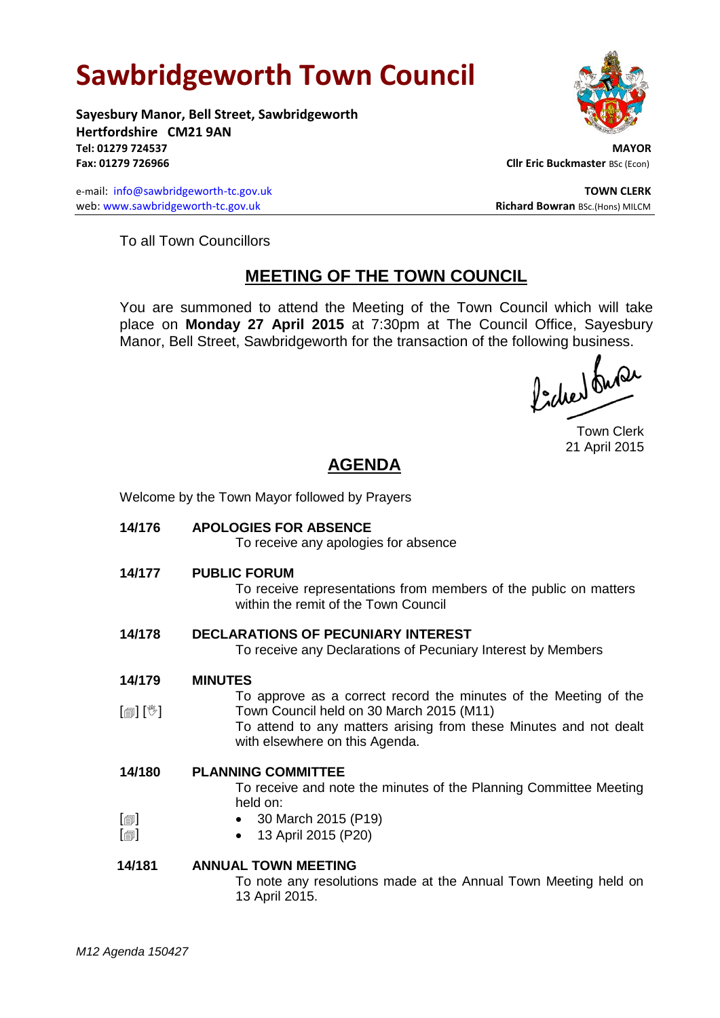# **Sawbridgeworth Town Council**

**Sayesbury Manor, Bell Street, Sawbridgeworth Hertfordshire CM21 9AN Tel: 01279 724537 MAYOR Fax: 01279 726966 Cllr Eric Buckmaster** BSc (Econ)

e-mail: [info@sawbridgeworth-tc.gov.uk](mailto:info@sawbridgeworth-tc.gov.uk) **TOWN CLERK** web: www.sawbridgeworth-tc.gov.uk<br> **Richard Bowran** BSc.(Hons) MILCM

To all Town Councillors

# **MEETING OF THE TOWN COUNCIL**

You are summoned to attend the Meeting of the Town Council which will take place on **Monday 27 April 2015** at 7:30pm at The Council Office, Sayesbury Manor, Bell Street, Sawbridgeworth for the transaction of the following business.<br>  $\int_1^1 f(x) dx$ 

Town Clerk 21 April 2015

# **AGENDA**

Welcome by the Town Mayor followed by Prayers

**14/176 APOLOGIES FOR ABSENCE**

To receive any apologies for absence

**14/177 PUBLIC FORUM**

To receive representations from members of the public on matters within the remit of the Town Council

**14/178 DECLARATIONS OF PECUNIARY INTEREST**

To receive any Declarations of Pecuniary Interest by Members

- **14/179 MINUTES**
- [創] [V] To approve as a correct record the minutes of the Meeting of the Town Council held on 30 March 2015 (M11)
- To attend to any matters arising from these Minutes and not dealt with elsewhere on this Agenda.
- **14/180 PLANNING COMMITTEE**

To receive and note the minutes of the Planning Committee Meeting held on:

- $\lceil$  30 March 2015 (P19)
	- 13 April 2015 (P20)

# **14/181 ANNUAL TOWN MEETING**

To note any resolutions made at the Annual Town Meeting held on 13 April 2015.

 $\lceil$  $\blacksquare$